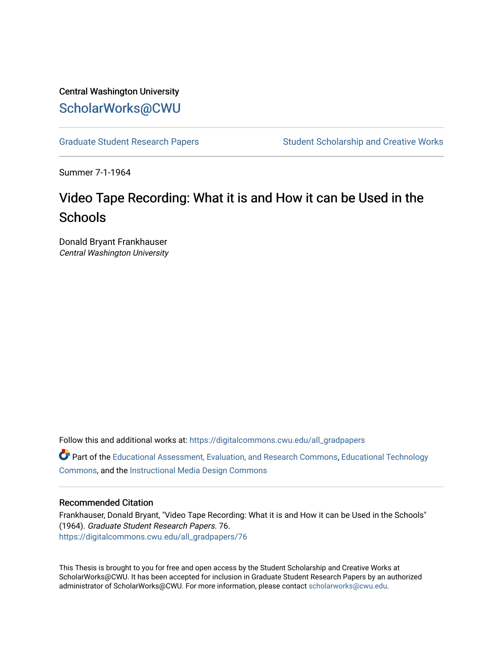# Central Washington University [ScholarWorks@CWU](https://digitalcommons.cwu.edu/)

[Graduate Student Research Papers](https://digitalcommons.cwu.edu/all_gradpapers) Student Scholarship and Creative Works

Summer 7-1-1964

# Video Tape Recording: What it is and How it can be Used in the **Schools**

Donald Bryant Frankhauser Central Washington University

Follow this and additional works at: [https://digitalcommons.cwu.edu/all\\_gradpapers](https://digitalcommons.cwu.edu/all_gradpapers?utm_source=digitalcommons.cwu.edu%2Fall_gradpapers%2F76&utm_medium=PDF&utm_campaign=PDFCoverPages)  Part of the [Educational Assessment, Evaluation, and Research Commons](https://network.bepress.com/hgg/discipline/796?utm_source=digitalcommons.cwu.edu%2Fall_gradpapers%2F76&utm_medium=PDF&utm_campaign=PDFCoverPages), [Educational Technology](https://network.bepress.com/hgg/discipline/1415?utm_source=digitalcommons.cwu.edu%2Fall_gradpapers%2F76&utm_medium=PDF&utm_campaign=PDFCoverPages)  [Commons](https://network.bepress.com/hgg/discipline/1415?utm_source=digitalcommons.cwu.edu%2Fall_gradpapers%2F76&utm_medium=PDF&utm_campaign=PDFCoverPages), and the [Instructional Media Design Commons](https://network.bepress.com/hgg/discipline/795?utm_source=digitalcommons.cwu.edu%2Fall_gradpapers%2F76&utm_medium=PDF&utm_campaign=PDFCoverPages)

## Recommended Citation

Frankhauser, Donald Bryant, "Video Tape Recording: What it is and How it can be Used in the Schools" (1964). Graduate Student Research Papers. 76. [https://digitalcommons.cwu.edu/all\\_gradpapers/76](https://digitalcommons.cwu.edu/all_gradpapers/76?utm_source=digitalcommons.cwu.edu%2Fall_gradpapers%2F76&utm_medium=PDF&utm_campaign=PDFCoverPages)

This Thesis is brought to you for free and open access by the Student Scholarship and Creative Works at ScholarWorks@CWU. It has been accepted for inclusion in Graduate Student Research Papers by an authorized administrator of ScholarWorks@CWU. For more information, please contact [scholarworks@cwu.edu](mailto:scholarworks@cwu.edu).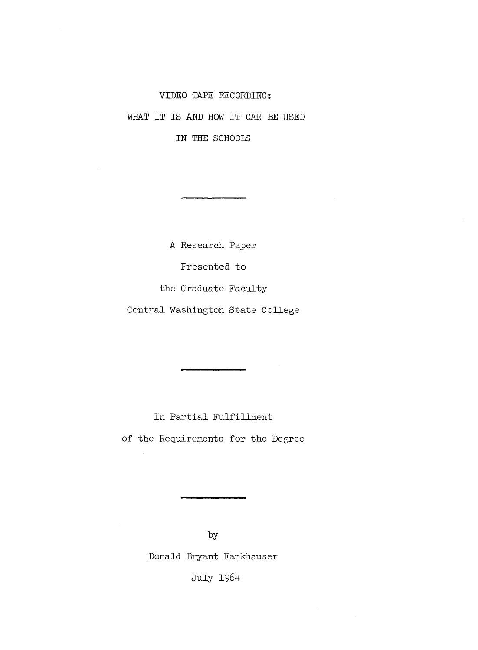### VIDEO TAPE RECORDING:

WHAT IT IS AND HOW IT CAN BE USED

IN THE SCHOOIS

A Research Paper Presented to the Graduate Faculty Central Washington State College

In Partial Fulfillment

of the Requirements for the Degree

by

Donald Bryant Fankhauser

July 1964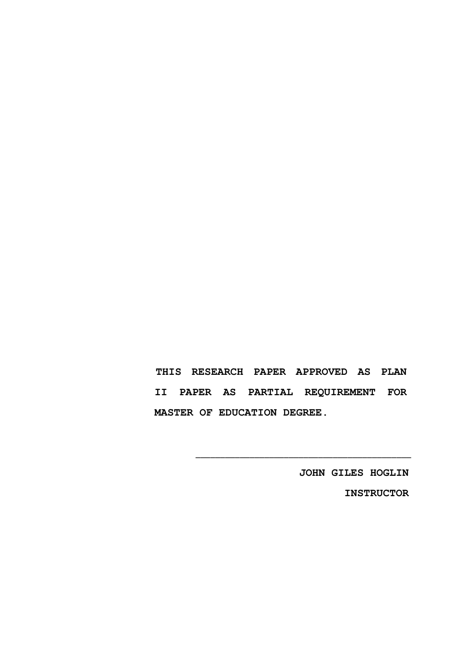**THIS RESEARCH PAPER APPROVED AS PLAN II PAPER AS PARTIAL REQUIREMENT FOR MASTER OF EDUCATION DEGREE.** 

\_\_\_\_\_\_\_\_\_\_\_\_\_\_\_\_\_\_\_\_\_\_\_\_\_\_\_\_\_\_\_\_\_\_\_\_\_\_\_\_\_\_\_\_

**JOHN GILES HOGLIN INSTRUCTOR**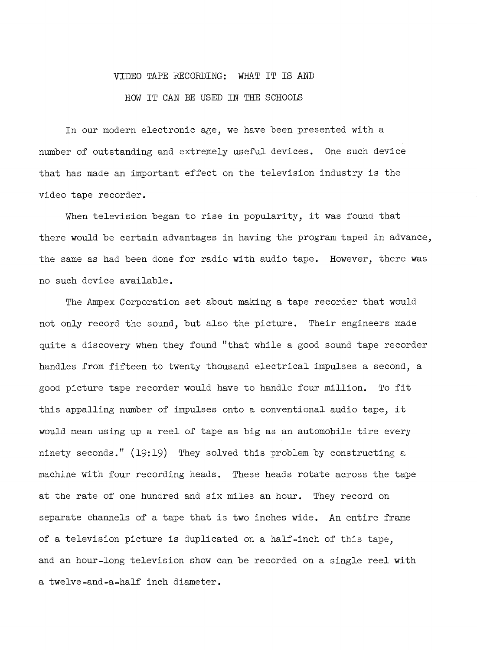#### VIDEO TAPE RECORDING: WHAT IT IS AND

### HOW IT CAN BE USED IN THE SCHOOLS

In our modern electronic age, we have been presented with a number of outstanding and extremely useful devices. One such device that has made an important effect on the television industry is the video tape recorder.

When television began to rise in popularity, it was found that there would be certain advantages in having the program taped in advance, the same as had been done for radio with audio tape. However, there was no such device available.

The Ampex Corporation set about making a tape recorder that would not only record the sound, but also the picture. Their engineers made quite a discovery when they found "that while a good sound tape recorder handles from fifteen to twenty thousand electrical impulses a second, a good picture tape recorder would have to handle four million. To fit this appalling number of impulses onto a conventional audio tape, it would mean using up a reel of tape as big as an automobile tire every ninety seconds." (19:19) They solved this problem by constructing a machine with four recording heads. These heads rotate across the tape at the rate of one hundred and six miles an hour. They record on separate channels of a tape that is two inches wide. An entire frame of a television picture is duplicated on a half-inch of this tape, and an hour-long television show can be recorded on a single reel with a twelve-and-a-half inch diameter.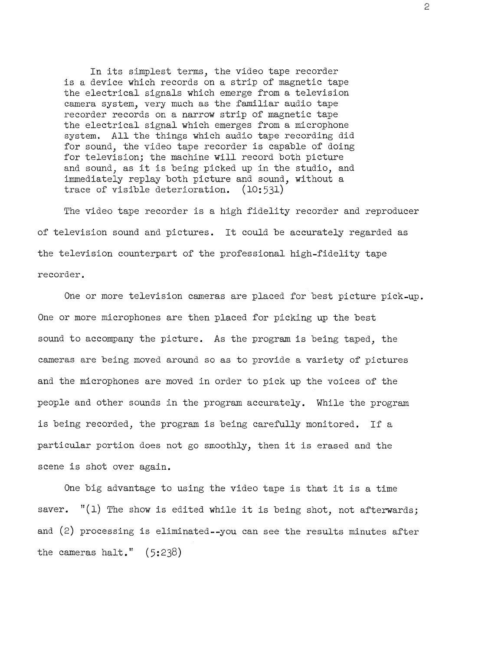In its simplest terms, the video tape recorder is a device which records on a strip of magnetic tape the electrical signals which emerge from a television camera system, very much as the familiar audio tape recorder records on a narrow strip of magnetic tape the electrical signal which emerges from a microphone system. All the things which audio tape recording did for sound, the video tape recorder is capable of doing for television; the machine will record both picture and sound, as it is being picked up in the studio, and immediately replay both picture and sound, without a trace of visible deterioration. (10:531)

The video tape recorder is a high fidelity recorder and reproducer of television sound and pictures. It could be accurately regarded as the television counterpart of the professional high-fidelity tape recorder.

One or more television cameras are placed for best picture pick-up. One or more microphones are then placed for picking up the best sound to accompany the picture. As the program is being taped, the cameras are being moved around so as to provide a variety of pictures and the microphones are moved in order to pick up the voices of the people and other sounds in the program accurately. While the program is being recorded, the program is being carefully monitored. If a particular portion does not go smoothly, then it is erased and the scene is shot over again.

One big advantage to using the video tape is that it is a time saver. " $(1)$  The show is edited while it is being shot, not afterwards; and (2) processing is eliminated--you can see the results minutes after the cameras halt." (5:238)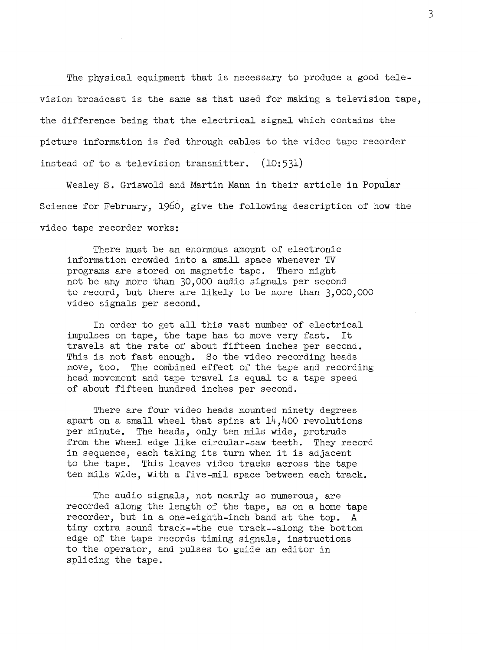The physical equipment that is necessary to produce a good television broadcast is the same as that used for making a television tape, the difference being that the electrical signal which contains the picture information is fed through cables to the video tape recorder instead of to a television transmitter. (10:531)

Wesley S. Griswold and Martin Mann in their article in Popular Science for February, 1960, give the following description of how the video tape recorder works:

There must be an enormous amount of electronic information crowded into a small space whenever TV programs are stored on magnetic tape. There might not be any more than 30,000 audio signals per second to record, but there are likely to be more than 3,000,000 video signals per second.

In order to get all this vast number of electrical impulses on tape, the tape has to move very fast. It travels at the rate of about fifteen inches per second. This is not fast enough. So the video recording heads move, too. The combined effect of the tape and recording head movement and tape travel is equal to a tape speed of about fifteen hundred inches per second.

There are four video heads mounted ninety degrees apart on a small wheel that spins at  $14,400$  revolutions per minute. The heads, only ten mils wide, protrude from the wheel edge like circular-saw teeth. They record in sequence, each taking its turn when it is adjacent to the tape. This leaves video tracks across the tape ten mils wide, with a five-mil space between each track.

The audio signals, not nearly so numerous, are recorded along the length of the tape, as on a home tape recorder, but in a one-eighth-inch band at the top. A tiny extra sound track--the cue track--along the bottom edge of the tape records timing signals, instructions to the operator, and pulses to guide an editor in splicing the tape.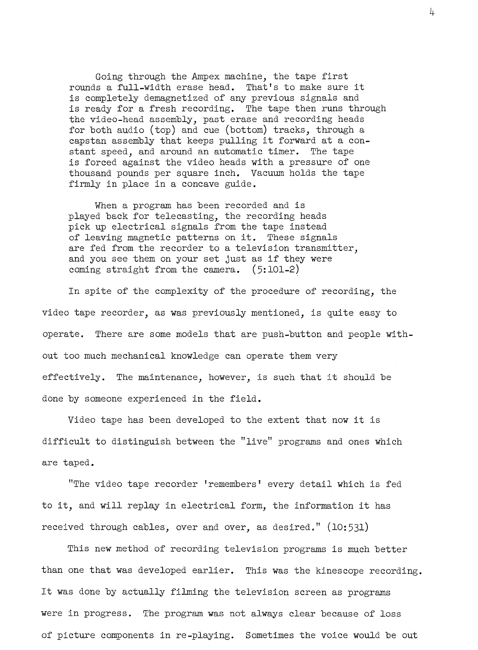Going through the Ampex machine, the tape first rounds a full-width erase head. That's to make sure it is completely demagnetized of any previous signals and is ready for a fresh recording. The tape then runs through the video-head assembly, past erase and recording heads for both audio (top) and cue (bottom) tracks, through a capstan assembly that keeps pulling it forward at a constant speed, and around an automatic timer. The tape is forced against the video heads with a pressure of one thousand pounds per square inch. Vacuum holds the tape firmly in place in a concave guide.

When a program has been recorded and is played back for telecasting, the recording heads pick up electrical signals from the tape instead of leaving magnetic patterns on it. These signals are fed from the recorder to a television transmitter, and you see them on your set just as if they were coming straight from the camera. (5:101-2)

In spite of the complexity of the procedure of recording, the video tape recorder, as was previously mentioned, is quite easy to operate. There are some models that are push-button and people without too much mechanical knowledge can operate them very effectively. The maintenance, however, is such that it should be done by someone experienced in the field.

Video tape has been developed to the extent that now it is difficult to distinguish between the "live" programs and ones which are taped.

"The video tape recorder 'remembers' every detail which is fed to it, and will replay in electrical form, the information it has received through cables, over and over, as desired." (10:531)

This new method of recording television programs is much better than one that was developed earlier. This was the kinescope recording. It was done by actually filming the television screen as programs were in progress. The program was not always clear because of loss of picture components in re-playing. Sometimes the voice would be out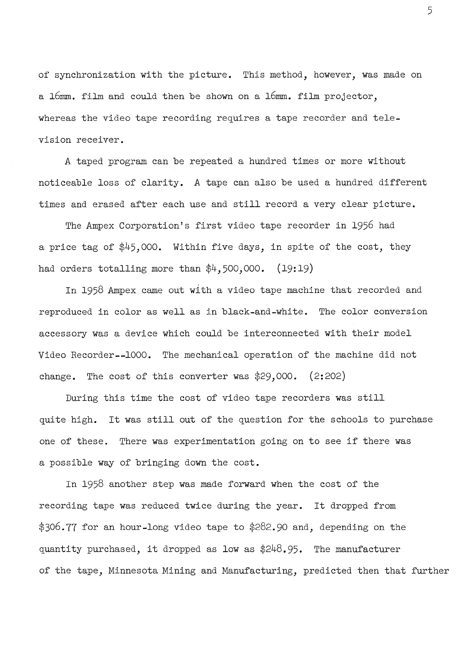of synchronization with the picture. This method, however, was made on a 16mm. film and could then be shown on a 16mm. film projector, whereas the video tape recording requires a tape recorder and television receiver.

A taped program can be repeated a hundred times or more without noticeable loss of clarity. A tape can also be used a hundred different times and erased after each use and still record a very clear picture.

The Ampex Corporation's first video tape recorder in 1956 had a price tag of \$45,000. Within five days, in spite of the cost, they had orders totalling more than  $\frac{4}{3}$ , 500,000. (19:19)

In 1958 Ampex came out with a video tape machine that recorded and reproduced in color as well as in black-and-white. The color conversion accessory was a device which could be interconnected with their model Video Recorder--1000. The mechanical operation of the machine did not change. The cost of this converter was \$29,000. (2:202)

During this time the cost of video tape recorders was still quite high. It was still out of the question for the schools to purchase one of these. There was experimentation going on to see if there was a possible way of bringing down the cost.

In 1958 another step was made forward when the cost of the recording tape was reduced twice during the year. It dropped from \$306.77 for an hour-long video tape to \$282.90 and, depending on the quantity purchased, it dropped as low as \$248.95. The manufacturer of the tape, Minnesota Mining and Manufacturing, predicted then that further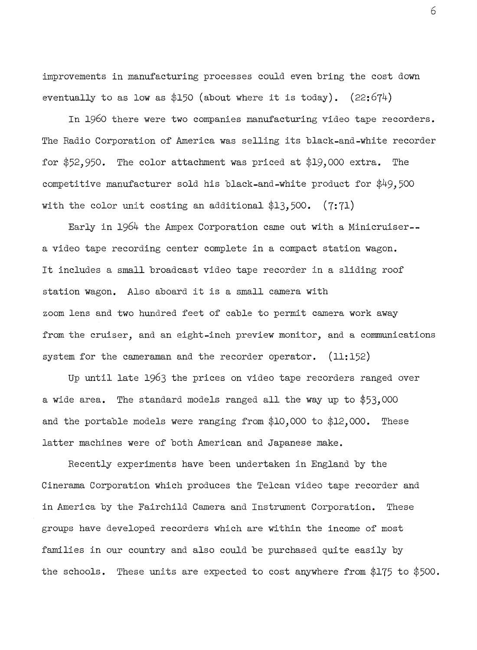improvements in manufacturing processes could even bring the cost down eventually to as low as \$150 (about where it is today).  $(22:674)$ 

In 1960 there were two companies manufacturing video tape recorders. The Radio Corporation of America was selling its black-and-white recorder for \$52,950. The color attachment was priced at \$19,000 extra. The competitive manufacturer sold his black-and-white product for \$49,500 with the color unit costing an additional  $$13,500.$  (7:71)

Early in 1964 the Ampex Corporation came out with a Minicruiser- a video tape recording center complete in a compact station wagon. It includes a small broadcast video tape recorder in a sliding roof station wagon. Also aboard it is a small camera with zoom lens and two hundred feet of cable to permit camera work away from the cruiser, and an eight-inch preview monitor, and a communications system for the cameraman and the recorder operator. (11:152)

Up until late 1963 the prices on video tape recorders ranged over a wide area. The standard models ranged all the way up to \$53,000 and the portable models were ranging from \$10,000 to \$12,000. These latter machines were of both American and Japanese make.

Recently experiments have been undertaken in England by the Cinerama Corporation which produces the Telcan video tape recorder and in America by the Fairchild Camera and Instrument Corporation. These groups have developed recorders which are within the income of most families in our country and also could be purchased quite easily by the schools. These units are expected to cost anywhere from \$175 to \$500.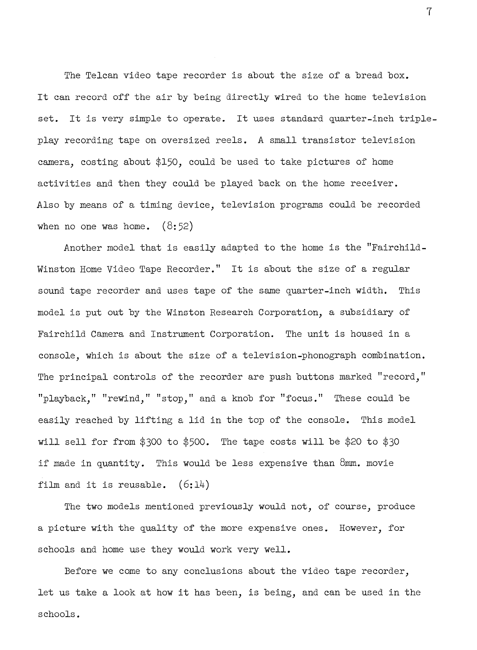The Telcan video tape recorder is about the size of a bread box. It can record off the air by being directly wired to the home television set. It is very simple to operate. It uses standard quarter-inch tripleplay recording tape on oversized reels. A small transistor television camera, costing about \$150, could be used to take pictures of home activities and then they could be played back on the home receiver. Also by means of a timing device, television programs could be recorded when no one was home.  $(8:52)$ 

Another model that is easily adapted to the home is the "Fairchild-Winston Home Video Tape Recorder." It is about the size of a regular sound tape recorder and uses tape of the same quarter-inch width. This model is put out by the Winston Research Corporation, a subsidiary of Fairchild Camera and Instrument Corporation. The unit is housed in a console, which is about the size of a television-phonograph combination. The principal controls of the recorder are push buttons marked "record," "playback," "rewind," "stop," and a knob for "focus." These could be easily reached by lifting a lid in the top of the console. This model will sell for from \$300 to \$500. The tape costs will be \$20 to \$30 if made in quantity. This would be less expensive than 8mm. movie film and it is reusable.  $(6:14)$ 

The two models mentioned previously would not, of course, produce a picture with the quality of the more expensive ones. However, for schools and home use they would work very well.

Before we come to any conclusions about the video tape recorder, let us take a look at how it has been, is being, and can be used in the schools.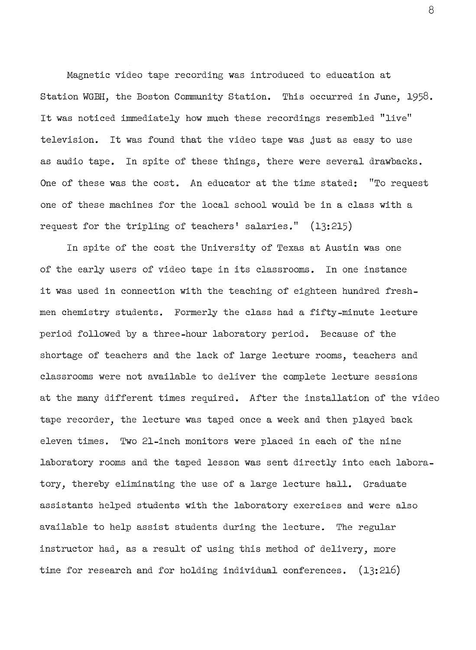Magnetic video tape recording was introduced to education at Station WGBH, the Boston Community Station. This occurred in June, 1958. It was noticed immediately how much these recordings resembled "live" television. It was found that the video tape was just as easy to use as audio tape. In spite of these things, there were several drawbacks. One of these was the cost. An educator at the time stated: "To request one of these machines for the local school would be in a class with a request for the tripling of teachers' salaries." (13:215)

In spite of the cost the University of Texas at Austin was one of the early users of video tape in its classrooms. In one instance it was used in connection with the teaching of eighteen hundred freshmen chemistry students. Formerly the class had a fifty-minute lecture period followed by a three-hour laboratory period. Because of the shortage of teachers and the lack of large lecture rooms, teachers and classrooms were not available to deliver the complete lecture sessions at the many different times required. After the installation of the video tape recorder, the lecture was taped once a week and then played back eleven times. Two 21-inch monitors were placed in each of the nine laboratory rooms and the taped lesson was sent directly into each laboratory, thereby eliminating the use of a large lecture hall. Graduate assistants helped students with the laboratory exercises and were also available to help assist students during the lecture. The regular instructor had, as a result of using this method of delivery, more time for research and for holding individual conferences. (13:216)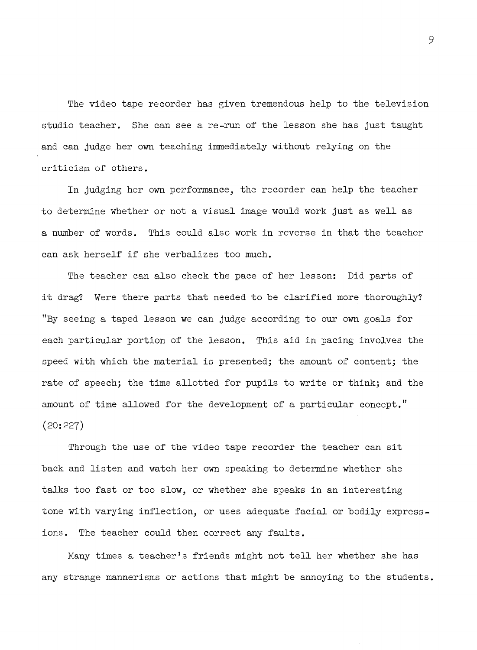The video tape recorder has given tremendous help to the television studio teacher. She can see a re-run of the lesson she has just taught and can judge her own teaching immediately without relying on the criticism of others.

In judging her own performance, the recorder can help the teacher to determine whether or not a visual image would work just as well as a number of words. This could also work in reverse in that the teacher can ask herself if she verbalizes too much.

The teacher can also check the pace of her lesson: Did parts of it drag? Were there parts that needed to be clarified more thoroughly? "By seeing a taped lesson we can judge according to our own goals for each particular portion of the lesson. This aid in pacing involves the speed with which the material is presented; the amount of content; the rate of speech; the time allotted for pupils to write or think; and the amount of time allowed for the development of a particular concept." (20:227)

Through the use of the video tape recorder the teacher can sit back and listen and watch her own speaking to determine whether she talks too fast or too slow, or whether she speaks in an interesting tone with varying inflection, or uses adequate facial or bodily expressions. The teacher could then correct any faults.

Many times a teacher's friends might not tell her whether she has any strange mannerisms or actions that might be annoying to the students.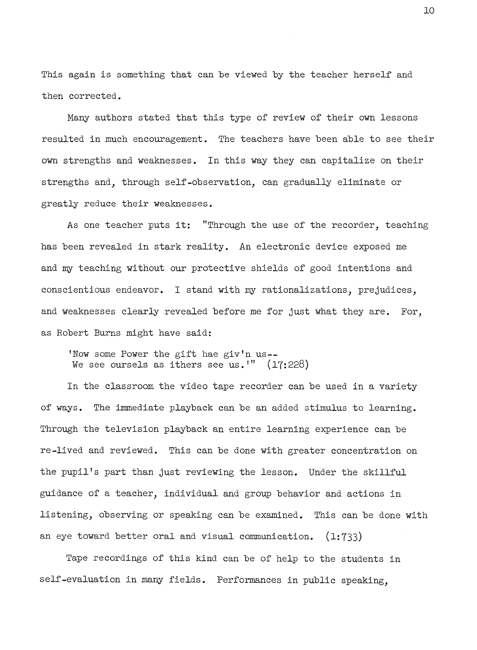This again is something that can be viewed by the teacher herself and then corrected.

Many authors stated that this type of review of their own lessons resulted in much encouragement. The teachers have been able to see their own strengths and weaknesses. In this way they can capitalize on their strengths and, through self-observation, can gradually eliminate or greatly reduce their weaknesses.

As one teacher puts it: "Through the use of the recorder, teaching has been revealed in stark reality. An electronic device exposed me and my teaching without our protective shields of good intentions and conscientious endeavor. I stand with my rationalizations, prejudices, and weaknesses clearly revealed before me for just what they are. For, as Robert Burns might have said:

'Now some Power the gift hae giv'n us-- We see oursels as ithers see us.'" (17:228)

In the classroom the video tape recorder can be used in a variety of ways. The innnediate playback can be an added stimulus to learning. Through the television playback an entire learning experience can be re-lived and reviewed. This can be done with greater concentration on the pupil's part than just reviewing the lesson. Under the skillful guidance of a teacher, individual and group behavior and actions in listening, observing or speaking can be examined. This can be done with an eye toward better oral and visual communication.  $(1:733)$ 

Tape recordings of this kind can be of help to the students in self-evaluation in many fields. Performances in public speaking,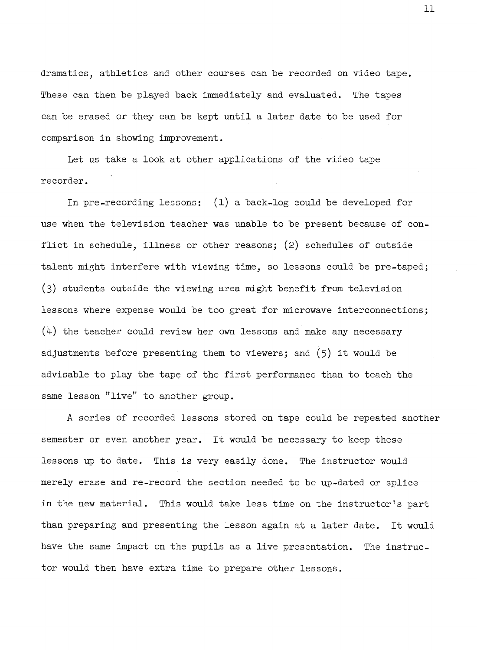dramatics, athletics and other courses can be recorded on video tape. These can then be played back immediately and evaluated. The tapes can be erased or they can be kept until a later date to be used for comparison in showing improvement.

Let us take a look at other applications of the video tape recorder.

In pre-recording lessons: (1) a back-log could be developed for use when the television teacher was unable to be present because of conflict in schedule, illness or other reasons; (2) schedules of outside talent might interfere with viewing time, so lessons could be pre-taped; (3) students outside the viewing area might benefit from television lessons where expense would be too great for microwave interconnections;  $(4)$  the teacher could review her own lessons and make any necessary adjustments before presenting them to viewers; and (5) it would be advisable to play the tape of the first performance than to teach the same lesson "live" to another group.

A series of recorded lessons stored on tape could be repeated another semester or even another year. It would be necessary to keep these lessons up to date. This is very easily done. The instructor would merely erase and re-record the section needed to be up-dated or splice in the new material. This would take less time on the instructor's part than preparing and presenting the lesson again at a later date. It would have the same impact on the pupils as a live presentation. The instructor would then have extra time to prepare other lessons.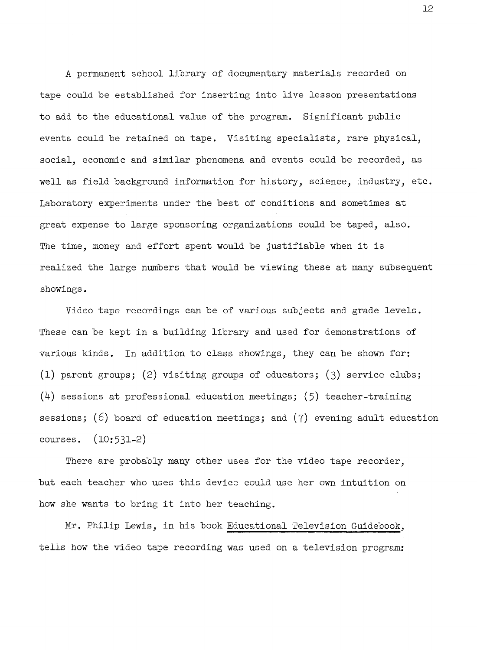<sup>A</sup>permanent school library of documentary materials recorded on tape could be established for inserting into live lesson presentations to add to the educational value of the program. Significant public events could be retained on tape. Visiting specialists, rare physical, social, economic and similar phenomena and events could be recorded, as well as field background information for history, science, industry, etc. Laboratory experiments under the best of conditions and sometimes at great expense to large sponsoring organizations could be taped, also. The time, money and effort spent would be justifiable when it is realized the large numbers that would be viewing these at many subsequent showings.

Video tape recordings can be of various subjects and grade levels. These can be kept in a building library and used for demonstrations of various kinds. In addition to class showings, they can be shown for: (1) parent groups; (2) visiting groups of educators; (3) service clubs;  $(4)$  sessions at professional education meetings; (5) teacher-training sessions; (6) board of education meetings; and  $(7)$  evening adult education courses. (10:531-2)

There are probably many other uses for the video tape recorder, but each teacher who uses this device could use her own intuition on how she wants to bring it into her teaching.

Mr. Philip Lewis, in his book Educational Television Guidebook, tells how the video tape recording was used on a television program: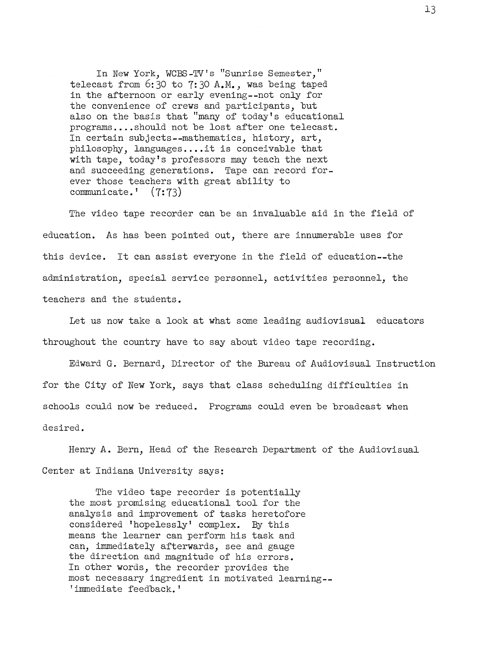In New York, WCBS-TV's "Sunrise Semester," telecast from 6:30 to 7:30 A.M., was being taped in the afternoon or early evening--not only for the convenience of crews and participants, but also on the basis that "many of today's educational programs....should not be lost after one telecast. In certain subjects--mathematics, history, art, philosophy, languages....it is conceivable that with tape, today's professors may teach the next and succeeding generations. Tape can record forever those teachers with great ability to communicate.' (7:73)

The video tape recorder can be an invaluable aid in the field of education. As has been pointed out, there are innumerable uses for this device. It can assist everyone in the field of education--the administration, special service personnel, activities personnel, the teachers and the students.

Let us now take a look at what some leading audiovisual educators throughout the country have to say about video tape recording.

Edward G. Bernard, Director of the Bureau of Audiovisual Instruction for the City of New York, says that class scheduling difficulties in schools could now be reduced. Programs could even be broadcast when desired.

Henry A. Bern, Head of the Research Department of the Audiovisual Center at Indiana University says:

The video tape recorder is potentially the most promising educational tool for the analysis and improvement of tasks heretofore considered 'hopelessly' complex. By this means the learner can perform his task and can, immediately afterwards, see and gauge the direction and magnitude of his errors. In other words, the recorder provides the most necessary ingredient in motivated learning-- 'immediate feedback.'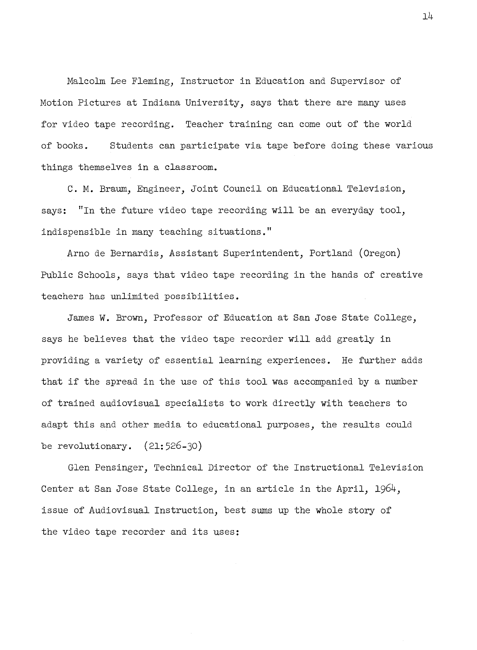Malcolm Lee Fleming, Instructor in Education and Supervisor of Motion Pictures at Indiana University, says that there are many uses for video tape recording. Teacher training can come out of the world of books. Students can participate via tape before doing these various things themselves in a classroom.

C. M. Braum, Engineer, Joint Council on Educational Television, says: "In the future video tape recording will be an everyday tool, indispensible in many teaching situations."

Arno de Bernardis, Assistant Superintendent, Portland (Oregon) Public Schools, says that video tape recording in the hands of creative teachers has unlimited possibilities.

James W. Brown, Professor of Education at San Jose State College, says he believes that the video tape recorder will add greatly in providing a variety of essential learning experiences. He further adds that if the spread in the use of this tool was accompanied by a number of trained audiovisual specialists to work directly with teachers to adapt this and other media to educational purposes, the results could be revolutionary.  $(21:526-30)$ 

Glen Pensinger, Technical Director of the Instructional Television Center at San Jose State College, in an article in the April, 1964, issue of Audiovisual Instruction, best sums up the whole story of the video tape recorder and its uses: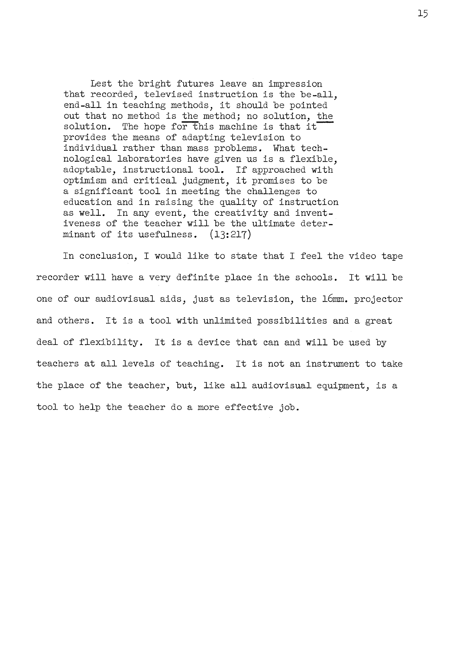Lest the bright futures leave an impression that recorded, televised instruction is the be-all, end-all in teaching methods, it should be pointed out that no method is the method; no solution, the solution. The hope for this machine is that it provides the means of adapting television to individual rather than mass problems. What technological laboratories have given us is a flexible, adoptable, instructional tool. If approached with optimism and critical judgment, it promises to be a significant tool in meeting the challenges to education and in raising the quality of instruction as well. In any event, the creativity and inventiveness of the teacher will be the ultimate determinant of its usefulness. (13:217)

In conclusion, I would like to state that I feel the video tape recorder will have a very definite place in the schools. It will be one of our audiovisual aids, just as television, the 16mm. projector and others. It is a tool with unlimited possibilities and a great deal of flexibility. It is a device that can and will be used by teachers at all levels of teaching. It is not an instrument to take the place of the teacher, but, like all audiovisual equipment, is a tool to help the teacher do a more effective job.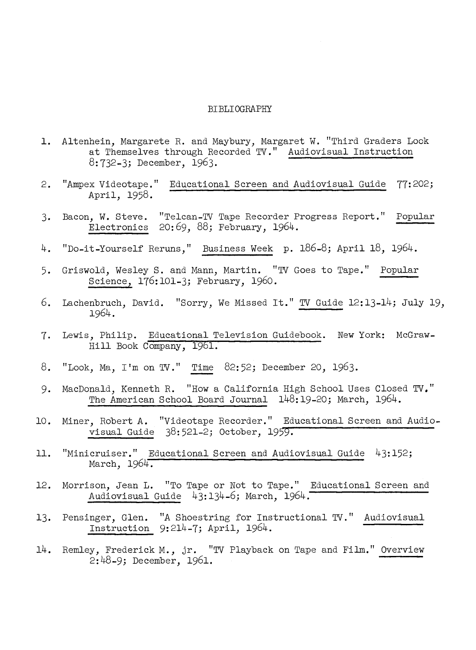#### BIBLIOGRAPHY

- 1. Altenhein, Margarete R. and Maybury, Margaret W. "Third Graders Look at Themselves through Recorded TV." Audiovisual Instruction 8:732-3; December, 1963.
- 2. "Ampex Videotape." Educational Screen and Audiovisual Guide 77:202; April, 1958.
- 3. Bacon, W. Steve. "Telcan-TV Tape Recorder Progress Report." Popular Electronics 20:69, 88; February, 1964.
- 4. "Do-it-Yourself Reruns," Business Week p. 186-8; April 18, 1964.
- 5. Griswold, Wesley S. and Mann, Martin. "TV Goes to Tape." Popular Science, 176:101-3; February, 1960.
- 6. Lachenbruch, David. "Sorry, We Missed It." TV Guide 12:13-14; July 19, 1964.
- 7. Lewis, Philip. Educational Television Guidebook. New York: McGraw-Hill Book Company, 1961.
- 8. "Look, Ma, I'm on TV." Time 82:52; December 20, 1963.
- 9. MacDonald, Kenneth R. "How a California High School Uses Closed TV." The American School Board Journal 148:19-20; March, 1964.
- 10. Miner, Robert A. "Videotape Recorder." Educational Screen and Audiovisual Guide 38: 521-2; October, 19
- 11. "Minicruiser." Educational Screen and Audiovisual Guide 43:152; March,  $1964.$
- 12. Morrison, Jean L. "To Tape or Not to Tape." Educational Screen and Audiovisual Guide 43:134-6; March, 1964.
- 13. Pensinger, Glen. "A Shoestring for Instructional TV." Audiovisual Instruction 9:214-7; April, 1964.
- 14. Remley, Frederick M., jr. "TV Playback on Tape and Film." Overview 2:48-9; December, 1961.